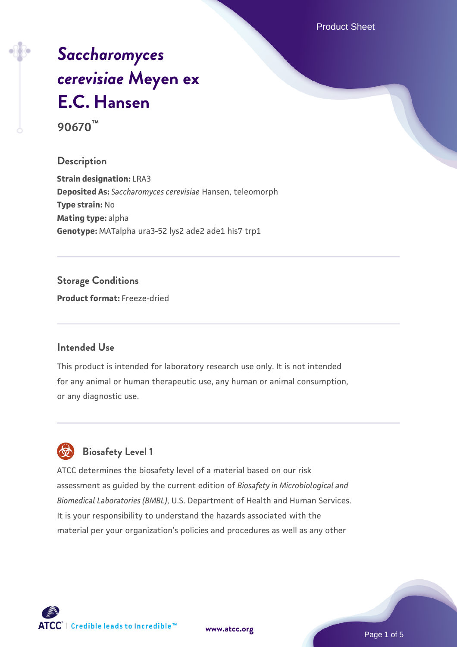Product Sheet

# *[Saccharomyces](https://www.atcc.org/products/90670) [cerevisiae](https://www.atcc.org/products/90670)* **[Meyen ex](https://www.atcc.org/products/90670) [E.C. Hansen](https://www.atcc.org/products/90670) 90670™**

#### **Description**

**Strain designation:** LRA3 **Deposited As:** *Saccharomyces cerevisiae* Hansen, teleomorph **Type strain:** No **Mating type:** alpha **Genotype:** MATalpha ura3-52 lys2 ade2 ade1 his7 trp1

## **Storage Conditions**

**Product format:** Freeze-dried

#### **Intended Use**

This product is intended for laboratory research use only. It is not intended for any animal or human therapeutic use, any human or animal consumption, or any diagnostic use.



# **Biosafety Level 1**

ATCC determines the biosafety level of a material based on our risk assessment as guided by the current edition of *Biosafety in Microbiological and Biomedical Laboratories (BMBL)*, U.S. Department of Health and Human Services. It is your responsibility to understand the hazards associated with the material per your organization's policies and procedures as well as any other

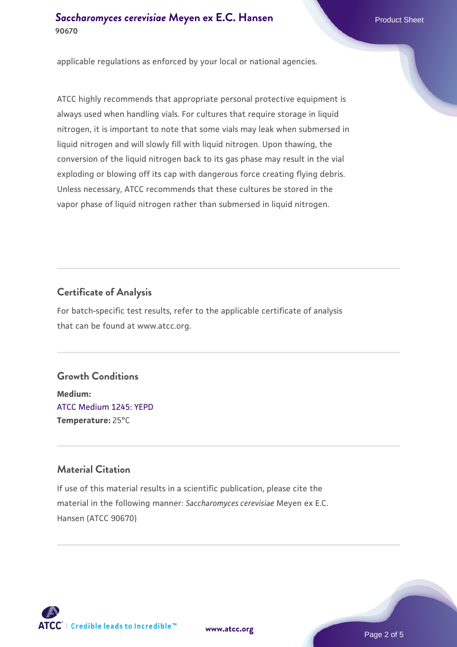### **[Saccharomyces cerevisiae](https://www.atcc.org/products/90670)** [Meyen ex E.C. Hansen](https://www.atcc.org/products/90670) **90670**

applicable regulations as enforced by your local or national agencies.

ATCC highly recommends that appropriate personal protective equipment is always used when handling vials. For cultures that require storage in liquid nitrogen, it is important to note that some vials may leak when submersed in liquid nitrogen and will slowly fill with liquid nitrogen. Upon thawing, the conversion of the liquid nitrogen back to its gas phase may result in the vial exploding or blowing off its cap with dangerous force creating flying debris. Unless necessary, ATCC recommends that these cultures be stored in the vapor phase of liquid nitrogen rather than submersed in liquid nitrogen.

# **Certificate of Analysis**

For batch-specific test results, refer to the applicable certificate of analysis that can be found at www.atcc.org.

#### **Growth Conditions**

**Medium:**  [ATCC Medium 1245: YEPD](https://www.atcc.org/-/media/product-assets/documents/microbial-media-formulations/1/2/4/5/atcc-medium-1245.pdf?rev=705ca55d1b6f490a808a965d5c072196) **Temperature:** 25°C

### **Material Citation**

If use of this material results in a scientific publication, please cite the material in the following manner: *Saccharomyces cerevisiae* Meyen ex E.C. Hansen (ATCC 90670)



**[www.atcc.org](http://www.atcc.org)**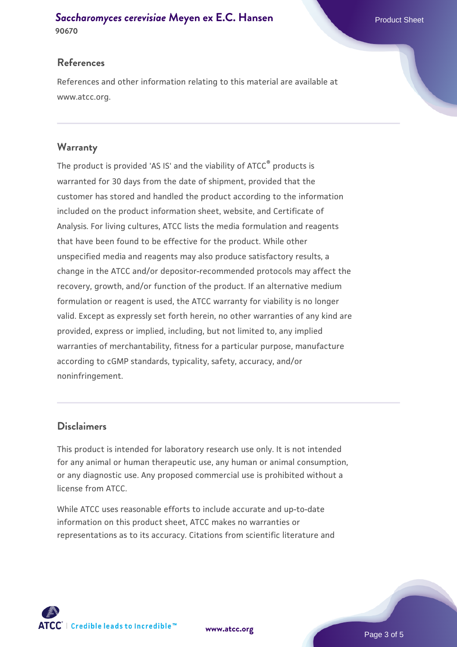#### **[Saccharomyces cerevisiae](https://www.atcc.org/products/90670)** [Meyen ex E.C. Hansen](https://www.atcc.org/products/90670) **90670**

#### **References**

References and other information relating to this material are available at www.atcc.org.

#### **Warranty**

The product is provided 'AS IS' and the viability of ATCC® products is warranted for 30 days from the date of shipment, provided that the customer has stored and handled the product according to the information included on the product information sheet, website, and Certificate of Analysis. For living cultures, ATCC lists the media formulation and reagents that have been found to be effective for the product. While other unspecified media and reagents may also produce satisfactory results, a change in the ATCC and/or depositor-recommended protocols may affect the recovery, growth, and/or function of the product. If an alternative medium formulation or reagent is used, the ATCC warranty for viability is no longer valid. Except as expressly set forth herein, no other warranties of any kind are provided, express or implied, including, but not limited to, any implied warranties of merchantability, fitness for a particular purpose, manufacture according to cGMP standards, typicality, safety, accuracy, and/or noninfringement.

#### **Disclaimers**

This product is intended for laboratory research use only. It is not intended for any animal or human therapeutic use, any human or animal consumption, or any diagnostic use. Any proposed commercial use is prohibited without a license from ATCC.

While ATCC uses reasonable efforts to include accurate and up-to-date information on this product sheet, ATCC makes no warranties or representations as to its accuracy. Citations from scientific literature and



**[www.atcc.org](http://www.atcc.org)**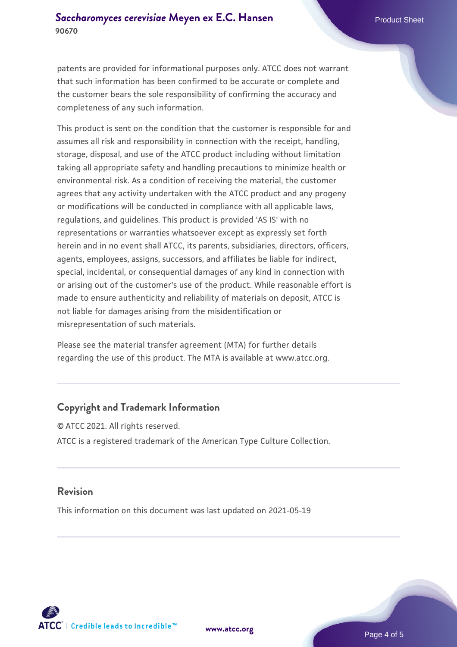patents are provided for informational purposes only. ATCC does not warrant that such information has been confirmed to be accurate or complete and the customer bears the sole responsibility of confirming the accuracy and completeness of any such information.

This product is sent on the condition that the customer is responsible for and assumes all risk and responsibility in connection with the receipt, handling, storage, disposal, and use of the ATCC product including without limitation taking all appropriate safety and handling precautions to minimize health or environmental risk. As a condition of receiving the material, the customer agrees that any activity undertaken with the ATCC product and any progeny or modifications will be conducted in compliance with all applicable laws, regulations, and guidelines. This product is provided 'AS IS' with no representations or warranties whatsoever except as expressly set forth herein and in no event shall ATCC, its parents, subsidiaries, directors, officers, agents, employees, assigns, successors, and affiliates be liable for indirect, special, incidental, or consequential damages of any kind in connection with or arising out of the customer's use of the product. While reasonable effort is made to ensure authenticity and reliability of materials on deposit, ATCC is not liable for damages arising from the misidentification or misrepresentation of such materials.

Please see the material transfer agreement (MTA) for further details regarding the use of this product. The MTA is available at www.atcc.org.

#### **Copyright and Trademark Information**

© ATCC 2021. All rights reserved. ATCC is a registered trademark of the American Type Culture Collection.

#### **Revision**

This information on this document was last updated on 2021-05-19



**[www.atcc.org](http://www.atcc.org)**

Page 4 of 5